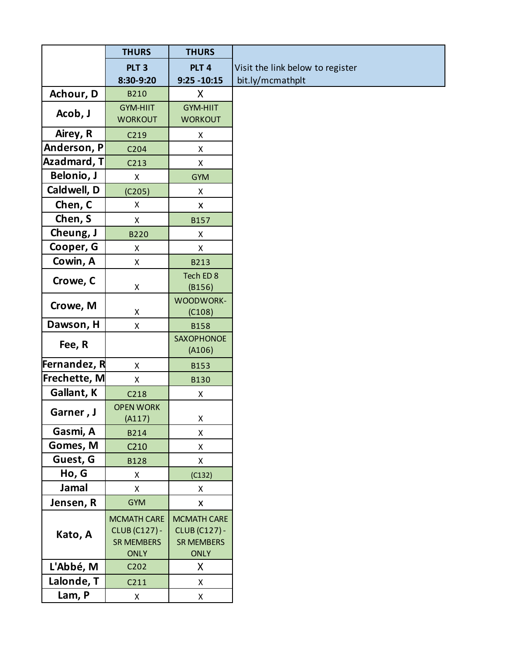|              | <b>THURS</b>               | <b>THURS</b>         |                                  |
|--------------|----------------------------|----------------------|----------------------------------|
|              | PLT <sub>3</sub>           | PLT <sub>4</sub>     | Visit the link below to register |
|              | 8:30-9:20                  | $9:25 - 10:15$       | bit.ly/mcmathplt                 |
| Achour, D    | <b>B210</b>                | X                    |                                  |
| Acob, J      | <b>GYM-HIIT</b>            | <b>GYM-HIIT</b>      |                                  |
|              | <b>WORKOUT</b>             | <b>WORKOUT</b>       |                                  |
| Airey, R     | C219                       | X                    |                                  |
| Anderson, P  | C204                       | X                    |                                  |
| Azadmard, T  | C <sub>213</sub>           | X                    |                                  |
| Belonio, J   | X                          | <b>GYM</b>           |                                  |
| Caldwell, D  | (C205)                     | X                    |                                  |
| Chen, C      | X                          | X                    |                                  |
| Chen, S      | $\pmb{\mathsf{X}}$         | B157                 |                                  |
| Cheung, J    | <b>B220</b>                | X                    |                                  |
| Cooper, G    | X                          | X                    |                                  |
| Cowin, A     | X                          | B213                 |                                  |
| Crowe, C     |                            | Tech ED 8            |                                  |
|              | X                          | (B156)               |                                  |
| Crowe, M     |                            | WOODWORK-            |                                  |
|              | X                          | (C108)               |                                  |
| Dawson, H    | $\mathsf X$                | <b>B158</b>          |                                  |
| Fee, R       |                            | SAXOPHONOE           |                                  |
| Fernandez, R |                            | (A106)               |                                  |
|              | X                          | <b>B153</b>          |                                  |
| Frechette, M | $\mathsf X$                | <b>B130</b>          |                                  |
| Gallant, K   | C <sub>218</sub>           | Χ                    |                                  |
| Garner, J    | <b>OPEN WORK</b><br>(A117) | Χ                    |                                  |
| Gasmi, A     | B214                       | X                    |                                  |
| Gomes, M     | C <sub>210</sub>           | Χ                    |                                  |
| Guest, G     | <b>B128</b>                | X                    |                                  |
| Ho, G        | X                          | (C132)               |                                  |
| Jamal        | X                          | X                    |                                  |
| Jensen, R    | <b>GYM</b>                 | X                    |                                  |
|              | <b>MCMATH CARE</b>         | <b>MCMATH CARE</b>   |                                  |
|              | <b>CLUB (C127) -</b>       | <b>CLUB (C127) -</b> |                                  |
| Kato, A      | <b>SR MEMBERS</b>          | <b>SR MEMBERS</b>    |                                  |
|              | <b>ONLY</b>                | <b>ONLY</b>          |                                  |
| L'Abbé, M    | C202                       | X                    |                                  |
| Lalonde, T   | C211                       | X                    |                                  |
| Lam, P       | X                          | Χ                    |                                  |